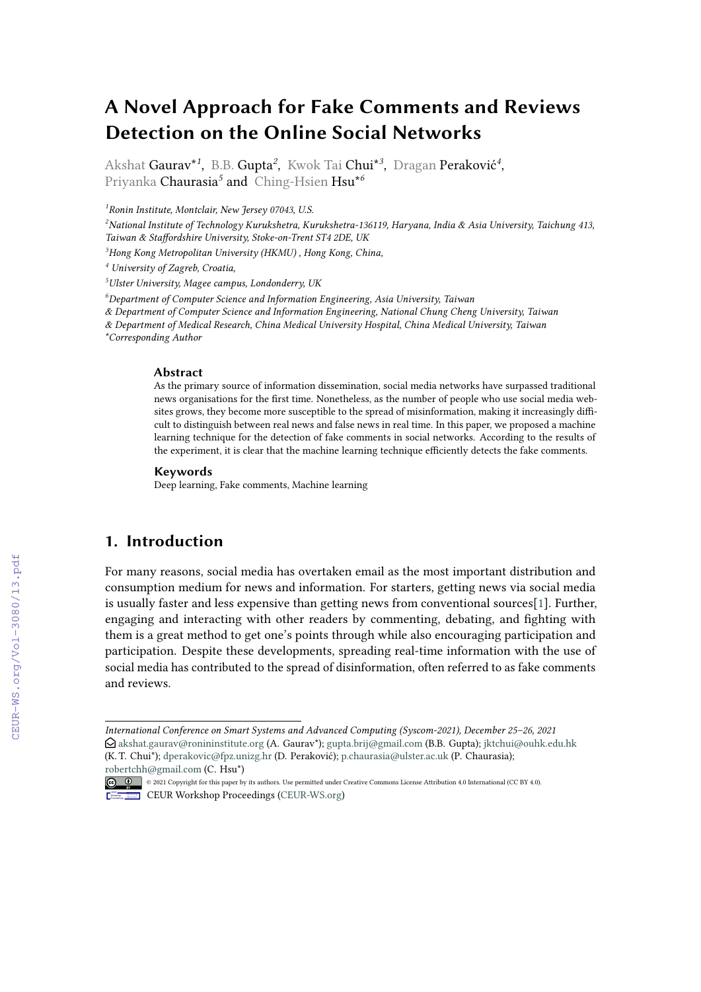# **A Novel Approach for Fake Comments and Reviews Detection on the Online Social Networks**

Akshat Gaurav\**<sup>1</sup>* , B.B. Gupta*<sup>2</sup>* , Kwok Tai Chui\**<sup>3</sup>* , Dragan Peraković*<sup>4</sup>* , Priyanka Chaurasia*<sup>5</sup>* and Ching-Hsien Hsu\**<sup>6</sup>*

*1 Ronin Institute, Montclair, New Jersey 07043, U.S.*

*<sup>2</sup>National Institute of Technology Kurukshetra, Kurukshetra-136119, Haryana, India & Asia University, Taichung 413, Taiwan & Staffordshire University, Stoke-on-Trent ST4 2DE, UK*

*<sup>3</sup>Hong Kong Metropolitan University (HKMU) , Hong Kong, China,*

*<sup>4</sup> University of Zagreb, Croatia,*

*<sup>5</sup>Ulster University, Magee campus, Londonderry, UK*

*<sup>6</sup>Department of Computer Science and Information Engineering, Asia University, Taiwan*

*& Department of Computer Science and Information Engineering, National Chung Cheng University, Taiwan*

*& Department of Medical Research, China Medical University Hospital, China Medical University, Taiwan*

*\*Corresponding Author*

#### **Abstract**

As the primary source of information dissemination, social media networks have surpassed traditional news organisations for the first time. Nonetheless, as the number of people who use social media websites grows, they become more susceptible to the spread of misinformation, making it increasingly difficult to distinguish between real news and false news in real time. In this paper, we proposed a machine learning technique for the detection of fake comments in social networks. According to the results of the experiment, it is clear that the machine learning technique efficiently detects the fake comments.

#### **Keywords**

Deep learning, Fake comments, Machine learning

#### **1. Introduction**

For many reasons, social media has overtaken email as the most important distribution and consumption medium for news and information. For starters, getting news via social media is usually faster and less expensive than getting news from conventional sources[\[1\]](#page--1-0). Further, engaging and interacting with other readers by commenting, debating, and fighting with them is a great method to get one's points through while also encouraging participation and participation. Despite these developments, spreading real-time information with the use of social media has contributed to the spread of disinformation, often referred to as fake comments and reviews.

*International Conference on Smart Systems and Advanced Computing (Syscom-2021), December 25–26, 2021* " [akshat.gaurav@ronininstitute.org](mailto:akshat.gaurav@ronininstitute.org) (A. Gaurav\*); [gupta.brij@gmail.com](mailto:gupta.brij@gmail.com) (B.B. Gupta); [jktchui@ouhk.edu.hk](mailto:jktchui@ouhk.edu.hk) (K. T. Chui\*); [dperakovic@fpz.unizg.hr](mailto:dperakovic@fpz.unizg.hr) (D. Peraković); [p.chaurasia@ulster.ac.uk](mailto:p.chaurasia@ulster.ac.uk) (P. Chaurasia); [robertchh@gmail.com](mailto:robertchh@gmail.com) (C. Hsu\*)

<sup>©</sup> 2021 Copyright for this paper by its authors. Use permitted under Creative Commons License Attribution 4.0 International (CC BY 4.0). CEUR Workshop [Proceedings](http://ceur-ws.org) [\(CEUR-WS.org\)](http://ceur-ws.org)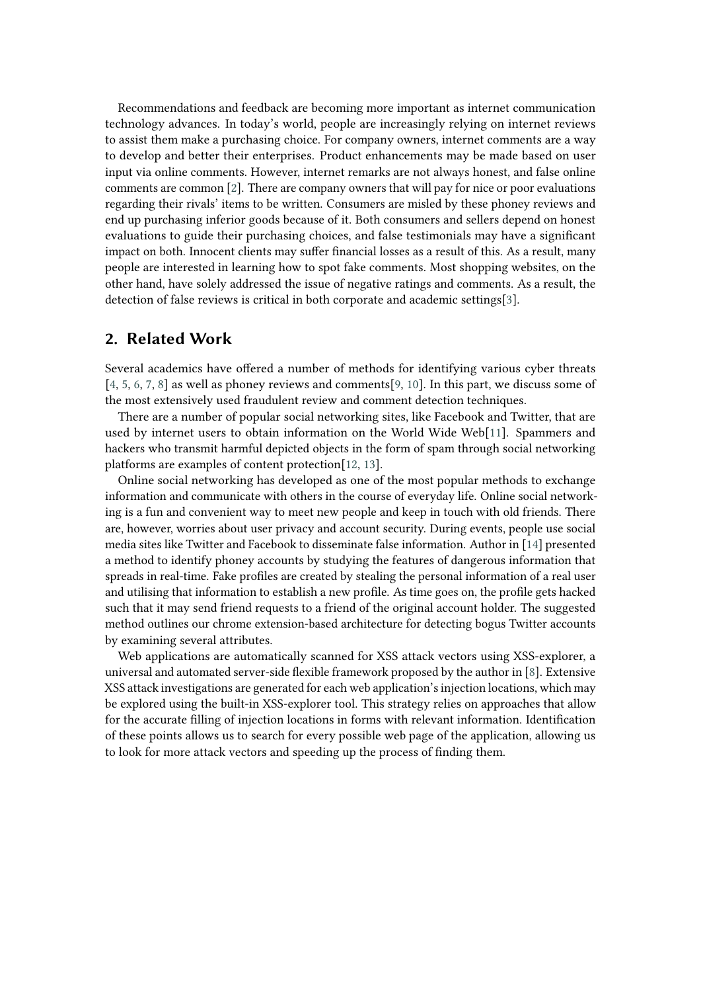Recommendations and feedback are becoming more important as internet communication technology advances. In today's world, people are increasingly relying on internet reviews to assist them make a purchasing choice. For company owners, internet comments are a way to develop and better their enterprises. Product enhancements may be made based on user input via online comments. However, internet remarks are not always honest, and false online comments are common [\[2\]](#page-3-0). There are company owners that will pay for nice or poor evaluations regarding their rivals' items to be written. Consumers are misled by these phoney reviews and end up purchasing inferior goods because of it. Both consumers and sellers depend on honest evaluations to guide their purchasing choices, and false testimonials may have a significant impact on both. Innocent clients may suffer financial losses as a result of this. As a result, many people are interested in learning how to spot fake comments. Most shopping websites, on the other hand, have solely addressed the issue of negative ratings and comments. As a result, the detection of false reviews is critical in both corporate and academic settings[\[3\]](#page-3-1).

#### **2. Related Work**

Several academics have offered a number of methods for identifying various cyber threats [\[4,](#page-4-0) [5,](#page-4-1) [6,](#page-4-2) [7,](#page-4-3) [8\]](#page-4-4) as well as phoney reviews and comments[\[9,](#page-4-5) [10\]](#page-4-6). In this part, we discuss some of the most extensively used fraudulent review and comment detection techniques.

There are a number of popular social networking sites, like Facebook and Twitter, that are used by internet users to obtain information on the World Wide Web[\[11\]](#page-4-7). Spammers and hackers who transmit harmful depicted objects in the form of spam through social networking platforms are examples of content protection[\[12,](#page-4-8) [13\]](#page-4-9).

Online social networking has developed as one of the most popular methods to exchange information and communicate with others in the course of everyday life. Online social networking is a fun and convenient way to meet new people and keep in touch with old friends. There are, however, worries about user privacy and account security. During events, people use social media sites like Twitter and Facebook to disseminate false information. Author in [\[14\]](#page-4-10) presented a method to identify phoney accounts by studying the features of dangerous information that spreads in real-time. Fake profiles are created by stealing the personal information of a real user and utilising that information to establish a new profile. As time goes on, the profile gets hacked such that it may send friend requests to a friend of the original account holder. The suggested method outlines our chrome extension-based architecture for detecting bogus Twitter accounts by examining several attributes.

Web applications are automatically scanned for XSS attack vectors using XSS-explorer, a universal and automated server-side flexible framework proposed by the author in [\[8\]](#page-4-4). Extensive XSS attack investigations are generated for each web application's injection locations, which may be explored using the built-in XSS-explorer tool. This strategy relies on approaches that allow for the accurate filling of injection locations in forms with relevant information. Identification of these points allows us to search for every possible web page of the application, allowing us to look for more attack vectors and speeding up the process of finding them.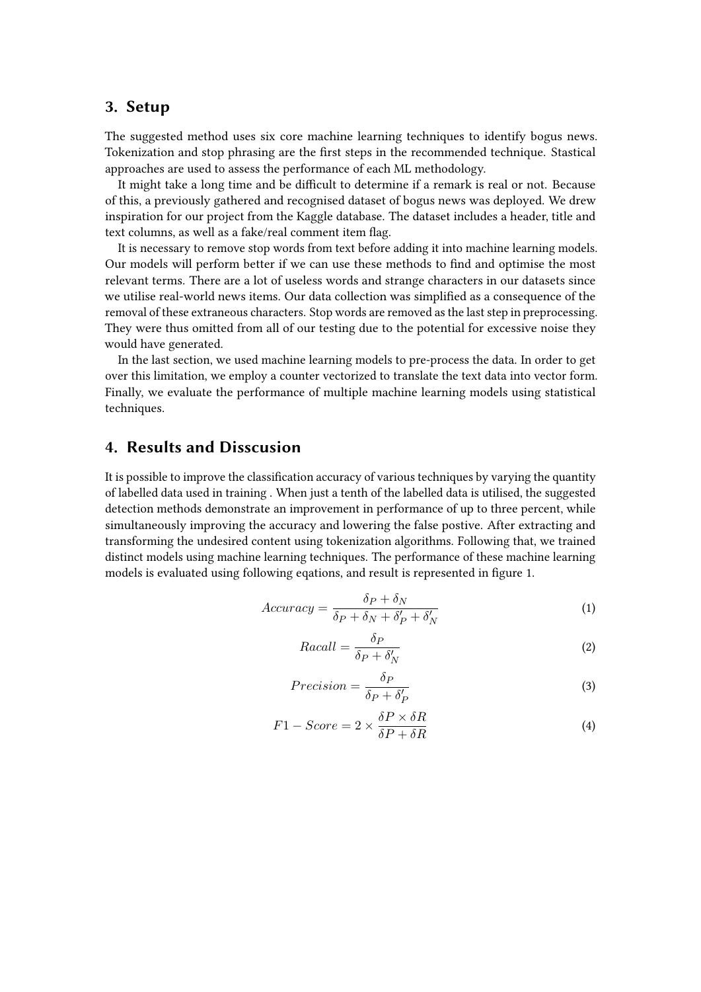#### **3. Setup**

The suggested method uses six core machine learning techniques to identify bogus news. Tokenization and stop phrasing are the first steps in the recommended technique. Stastical approaches are used to assess the performance of each ML methodology.

It might take a long time and be difficult to determine if a remark is real or not. Because of this, a previously gathered and recognised dataset of bogus news was deployed. We drew inspiration for our project from the Kaggle database. The dataset includes a header, title and text columns, as well as a fake/real comment item flag.

It is necessary to remove stop words from text before adding it into machine learning models. Our models will perform better if we can use these methods to find and optimise the most relevant terms. There are a lot of useless words and strange characters in our datasets since we utilise real-world news items. Our data collection was simplified as a consequence of the removal of these extraneous characters. Stop words are removed as the last step in preprocessing. They were thus omitted from all of our testing due to the potential for excessive noise they would have generated.

In the last section, we used machine learning models to pre-process the data. In order to get over this limitation, we employ a counter vectorized to translate the text data into vector form. Finally, we evaluate the performance of multiple machine learning models using statistical techniques.

## **4. Results and Disscusion**

It is possible to improve the classification accuracy of various techniques by varying the quantity of labelled data used in training . When just a tenth of the labelled data is utilised, the suggested detection methods demonstrate an improvement in performance of up to three percent, while simultaneously improving the accuracy and lowering the false postive. After extracting and transforming the undesired content using tokenization algorithms. Following that, we trained distinct models using machine learning techniques. The performance of these machine learning models is evaluated using following eqations, and result is represented in figure 1.

$$
Accuracy = \frac{\delta_P + \delta_N}{\delta_P + \delta_N + \delta'_P + \delta'_N}
$$
 (1)

$$
Racall = \frac{\delta_P}{\delta_P + \delta'_N} \tag{2}
$$

$$
Precision = \frac{\delta_P}{\delta_P + \delta'_P}
$$
\n(3)

$$
F1 - Score = 2 \times \frac{\delta P \times \delta R}{\delta P + \delta R}
$$
\n(4)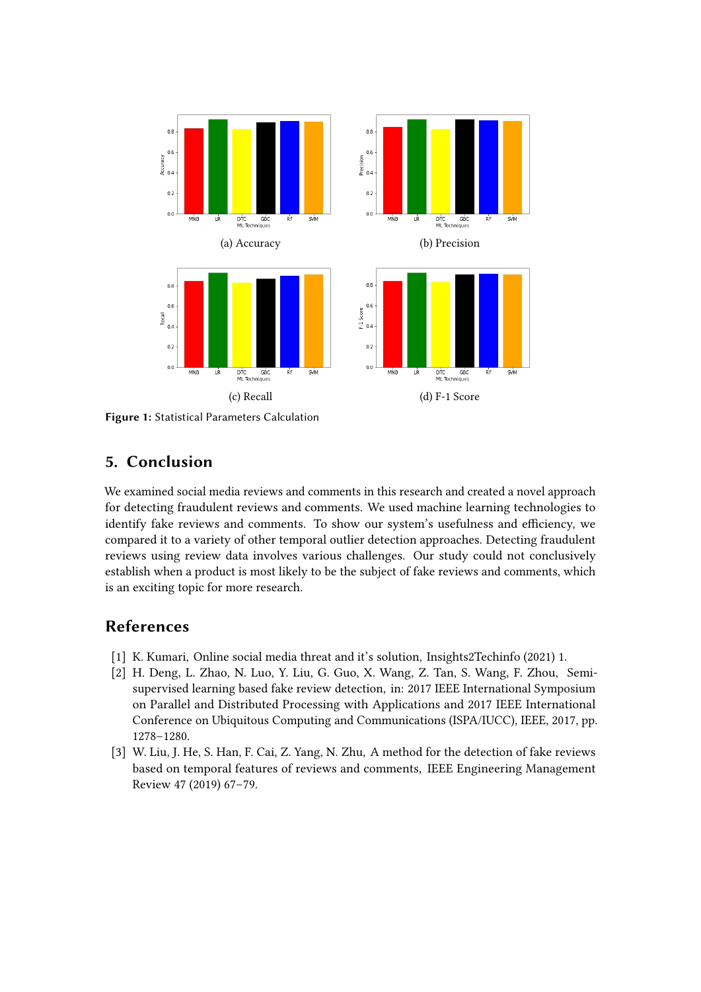

**Figure 1:** Statistical Parameters Calculation

## **5. Conclusion**

We examined social media reviews and comments in this research and created a novel approach for detecting fraudulent reviews and comments. We used machine learning technologies to identify fake reviews and comments. To show our system's usefulness and efficiency, we compared it to a variety of other temporal outlier detection approaches. Detecting fraudulent reviews using review data involves various challenges. Our study could not conclusively establish when a product is most likely to be the subject of fake reviews and comments, which is an exciting topic for more research.

## **References**

- [1] K. Kumari, Online social media threat and it's solution, Insights2Techinfo (2021) 1.
- <span id="page-3-0"></span>[2] H. Deng, L. Zhao, N. Luo, Y. Liu, G. Guo, X. Wang, Z. Tan, S. Wang, F. Zhou, Semisupervised learning based fake review detection, in: 2017 IEEE International Symposium on Parallel and Distributed Processing with Applications and 2017 IEEE International Conference on Ubiquitous Computing and Communications (ISPA/IUCC), IEEE, 2017, pp. 1278–1280.
- <span id="page-3-1"></span>[3] W. Liu, J. He, S. Han, F. Cai, Z. Yang, N. Zhu, A method for the detection of fake reviews based on temporal features of reviews and comments, IEEE Engineering Management Review 47 (2019) 67–79.